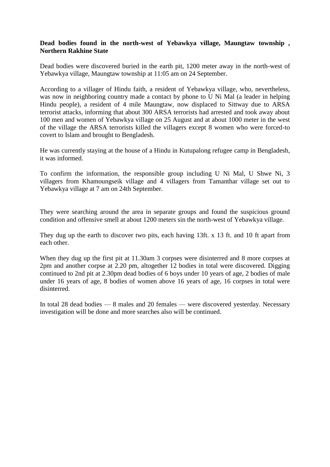## **Dead bodies found in the north-west of Yebawkya village, Maungtaw township , Northern Rakhine State**

Dead bodies were discovered buried in the earth pit, 1200 meter away in the north-west of Yebawkya village, Maungtaw township at 11:05 am on 24 September.

According to a villager of Hindu faith, a resident of Yebawkya village, who, nevertheless, was now in neighboring country made a contact by phone to U Ni Mal (a leader in helping Hindu people), a resident of 4 mile Maungtaw, now displaced to Sittway due to ARSA terrorist attacks, informing that about 300 ARSA terrorists had arrested and took away about 100 men and women of Yebawkya village on 25 August and at about 1000 meter in the west of the village the ARSA terrorists killed the villagers except 8 women who were forced-to covert to Islam and brought to Bengladesh.

He was currently staying at the house of a Hindu in Kutupalong refugee camp in Bengladesh, it was informed.

To confirm the information, the responsible group including U Ni Mal, U Shwe Ni, 3 villagers from Khamoungseik village and 4 villagers from Tamanthar village set out to Yebawkya village at 7 am on 24th September.

They were searching around the area in separate groups and found the suspicious ground condition and offensive smell at about 1200 meters sin the north-west of Yebawkya village.

They dug up the earth to discover two pits, each having 13ft. x 13 ft. and 10 ft apart from each other.

When they dug up the first pit at 11.30am 3 corpses were disinterred and 8 more corpses at 2pm and another corpse at 2.20 pm, altogether 12 bodies in total were discovered. Digging continued to 2nd pit at 2.30pm dead bodies of 6 boys under 10 years of age, 2 bodies of male under 16 years of age, 8 bodies of women above 16 years of age, 16 corpses in total were disinterred.

In total 28 dead bodies — 8 males and 20 females — were discovered yesterday. Necessary investigation will be done and more searches also will be continued.